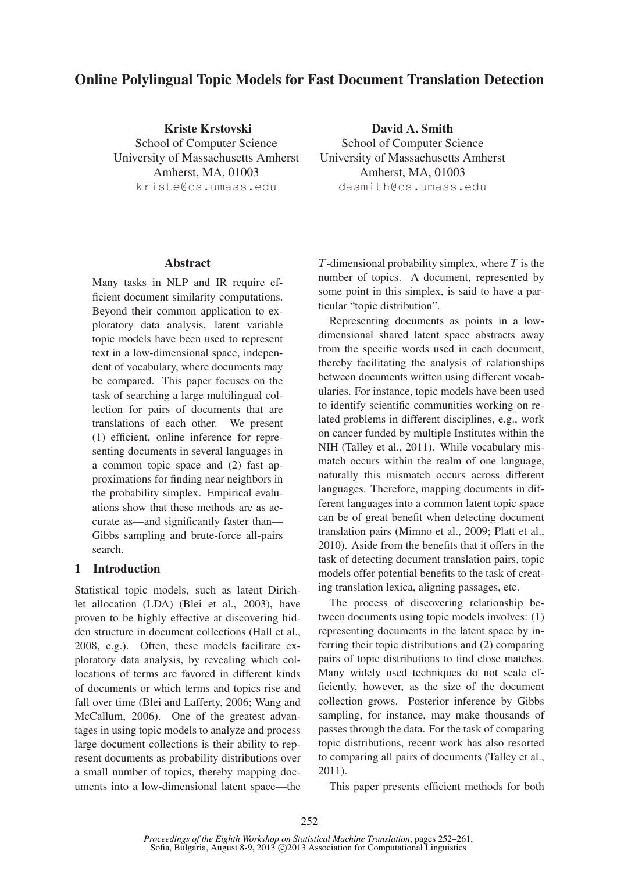# Online Polylingual Topic Models for Fast Document Translation Detection

Kriste Krstovski School of Computer Science University of Massachusetts Amherst Amherst, MA, 01003 kriste@cs.umass.edu

David A. Smith School of Computer Science University of Massachusetts Amherst Amherst, MA, 01003 dasmith@cs.umass.edu

### Abstract

Many tasks in NLP and IR require efficient document similarity computations. Beyond their common application to exploratory data analysis, latent variable topic models have been used to represent text in a low-dimensional space, independent of vocabulary, where documents may be compared. This paper focuses on the task of searching a large multilingual collection for pairs of documents that are translations of each other. We present (1) efficient, online inference for representing documents in several languages in a common topic space and (2) fast approximations for finding near neighbors in the probability simplex. Empirical evaluations show that these methods are as accurate as—and significantly faster than— Gibbs sampling and brute-force all-pairs search.

### 1 Introduction

Statistical topic models, such as latent Dirichlet allocation (LDA) (Blei et al., 2003), have proven to be highly effective at discovering hidden structure in document collections (Hall et al., 2008, e.g.). Often, these models facilitate exploratory data analysis, by revealing which collocations of terms are favored in different kinds of documents or which terms and topics rise and fall over time (Blei and Lafferty, 2006; Wang and McCallum, 2006). One of the greatest advantages in using topic models to analyze and process large document collections is their ability to represent documents as probability distributions over a small number of topics, thereby mapping documents into a low-dimensional latent space—the  $T$ -dimensional probability simplex, where  $T$  is the number of topics. A document, represented by some point in this simplex, is said to have a particular "topic distribution".

Representing documents as points in a lowdimensional shared latent space abstracts away from the specific words used in each document, thereby facilitating the analysis of relationships between documents written using different vocabularies. For instance, topic models have been used to identify scientific communities working on related problems in different disciplines, e.g., work on cancer funded by multiple Institutes within the NIH (Talley et al., 2011). While vocabulary mismatch occurs within the realm of one language, naturally this mismatch occurs across different languages. Therefore, mapping documents in different languages into a common latent topic space can be of great benefit when detecting document translation pairs (Mimno et al., 2009; Platt et al., 2010). Aside from the benefits that it offers in the task of detecting document translation pairs, topic models offer potential benefits to the task of creating translation lexica, aligning passages, etc.

The process of discovering relationship between documents using topic models involves: (1) representing documents in the latent space by inferring their topic distributions and (2) comparing pairs of topic distributions to find close matches. Many widely used techniques do not scale efficiently, however, as the size of the document collection grows. Posterior inference by Gibbs sampling, for instance, may make thousands of passes through the data. For the task of comparing topic distributions, recent work has also resorted to comparing all pairs of documents (Talley et al., 2011).

This paper presents efficient methods for both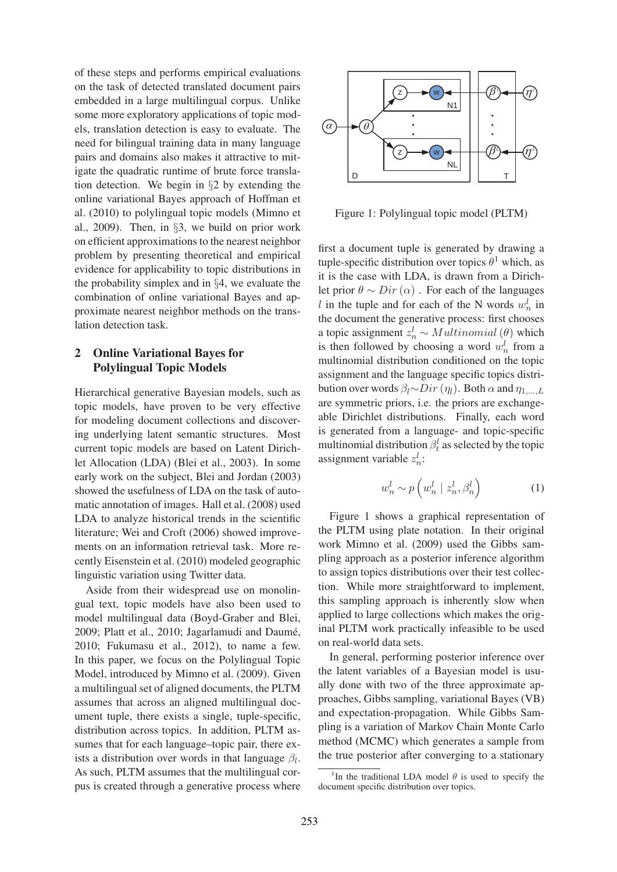of these steps and performs empirical evaluations on the task of detected translated document pairs embedded in a large multilingual corpus. Unlike some more exploratory applications of topic models, translation detection is easy to evaluate. The need for bilingual training data in many language pairs and domains also makes it attractive to mitigate the quadratic runtime of brute force translation detection. We begin in §2 by extending the online variational Bayes approach of Hoffman et al. (2010) to polylingual topic models (Mimno et al., 2009). Then, in §3, we build on prior work on efficient approximations to the nearest neighbor problem by presenting theoretical and empirical evidence for applicability to topic distributions in the probability simplex and in §4, we evaluate the combination of online variational Bayes and approximate nearest neighbor methods on the translation detection task.

# 2 Online Variational Bayes for Polylingual Topic Models

Hierarchical generative Bayesian models, such as topic models, have proven to be very effective for modeling document collections and discovering underlying latent semantic structures. Most current topic models are based on Latent Dirichlet Allocation (LDA) (Blei et al., 2003). In some early work on the subject, Blei and Jordan (2003) showed the usefulness of LDA on the task of automatic annotation of images. Hall et al. (2008) used LDA to analyze historical trends in the scientific literature; Wei and Croft (2006) showed improvements on an information retrieval task. More recently Eisenstein et al. (2010) modeled geographic linguistic variation using Twitter data.

Aside from their widespread use on monolingual text, topic models have also been used to model multilingual data (Boyd-Graber and Blei, 2009; Platt et al., 2010; Jagarlamudi and Daumé, 2010; Fukumasu et al., 2012), to name a few. In this paper, we focus on the Polylingual Topic Model, introduced by Mimno et al. (2009). Given a multilingual set of aligned documents, the PLTM assumes that across an aligned multilingual document tuple, there exists a single, tuple-specific, distribution across topics. In addition, PLTM assumes that for each language–topic pair, there exists a distribution over words in that language  $\beta_l$ . As such, PLTM assumes that the multilingual corpus is created through a generative process where



Figure 1: Polylingual topic model (PLTM)

first a document tuple is generated by drawing a tuple-specific distribution over topics  $\theta^1$  which, as it is the case with LDA, is drawn from a Dirichlet prior  $\theta \sim Dir(\alpha)$ . For each of the languages l in the tuple and for each of the N words  $w_n^l$  in the document the generative process: first chooses a topic assignment  $z_n^l \sim Multinomial(\theta)$  which is then followed by choosing a word  $w_n^l$  from a multinomial distribution conditioned on the topic assignment and the language specific topics distribution over words  $\beta_l \sim Dir(\eta_l)$ . Both  $\alpha$  and  $\eta_{1,...,L}$ are symmetric priors, i.e. the priors are exchangeable Dirichlet distributions. Finally, each word is generated from a language- and topic-specific multinomial distribution  $\beta_t^l$  as selected by the topic assignment variable  $z_n^l$ :

$$
w_n^l \sim p\left(w_n^l \mid z_n^l, \beta_n^l\right) \tag{1}
$$

Figure 1 shows a graphical representation of the PLTM using plate notation. In their original work Mimno et al. (2009) used the Gibbs sampling approach as a posterior inference algorithm to assign topics distributions over their test collection. While more straightforward to implement, this sampling approach is inherently slow when applied to large collections which makes the original PLTM work practically infeasible to be used on real-world data sets.

In general, performing posterior inference over the latent variables of a Bayesian model is usually done with two of the three approximate approaches, Gibbs sampling, variational Bayes (VB) and expectation-propagation. While Gibbs Sampling is a variation of Markov Chain Monte Carlo method (MCMC) which generates a sample from the true posterior after converging to a stationary

<sup>&</sup>lt;sup>1</sup>In the traditional LDA model  $\theta$  is used to specify the document specific distribution over topics.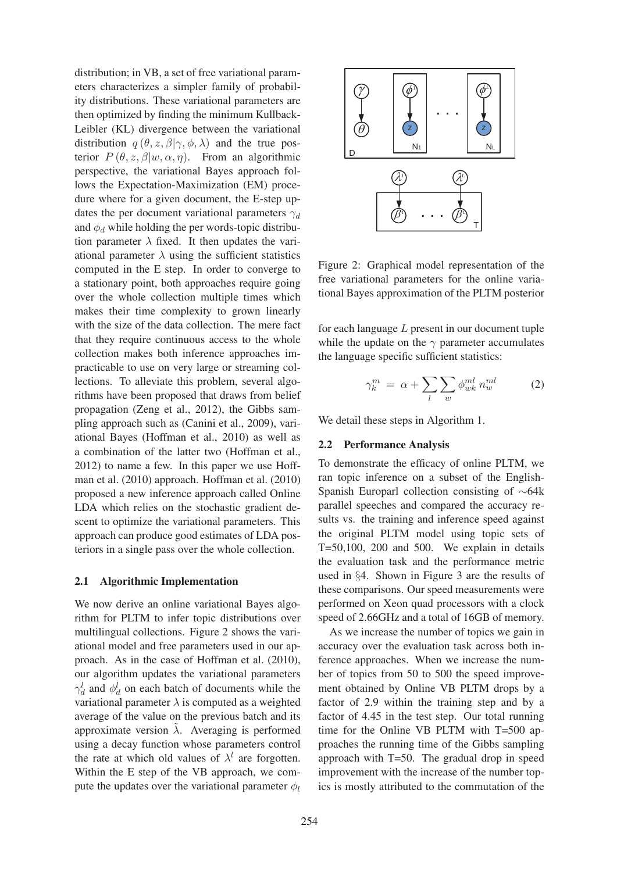distribution; in VB, a set of free variational parameters characterizes a simpler family of probability distributions. These variational parameters are then optimized by finding the minimum Kullback-Leibler (KL) divergence between the variational distribution  $q(\theta, z, \beta | \gamma, \phi, \lambda)$  and the true posterior  $P(\theta, z, \beta | w, \alpha, \eta)$ . From an algorithmic perspective, the variational Bayes approach follows the Expectation-Maximization (EM) procedure where for a given document, the E-step updates the per document variational parameters  $\gamma_d$ and  $\phi_d$  while holding the per words-topic distribution parameter  $\lambda$  fixed. It then updates the variational parameter  $\lambda$  using the sufficient statistics computed in the E step. In order to converge to a stationary point, both approaches require going over the whole collection multiple times which makes their time complexity to grown linearly with the size of the data collection. The mere fact that they require continuous access to the whole collection makes both inference approaches impracticable to use on very large or streaming collections. To alleviate this problem, several algorithms have been proposed that draws from belief propagation (Zeng et al., 2012), the Gibbs sampling approach such as (Canini et al., 2009), variational Bayes (Hoffman et al., 2010) as well as a combination of the latter two (Hoffman et al., 2012) to name a few. In this paper we use Hoffman et al. (2010) approach. Hoffman et al. (2010) proposed a new inference approach called Online LDA which relies on the stochastic gradient descent to optimize the variational parameters. This approach can produce good estimates of LDA posteriors in a single pass over the whole collection.

### 2.1 Algorithmic Implementation

We now derive an online variational Bayes algorithm for PLTM to infer topic distributions over multilingual collections. Figure 2 shows the variational model and free parameters used in our approach. As in the case of Hoffman et al. (2010), our algorithm updates the variational parameters  $\gamma_d^l$  and  $\phi_d^l$  on each batch of documents while the variational parameter  $\lambda$  is computed as a weighted average of the value on the previous batch and its approximate version  $\tilde{\lambda}$ . Averaging is performed using a decay function whose parameters control the rate at which old values of  $\lambda^{l}$  are forgotten. Within the E step of the VB approach, we compute the updates over the variational parameter  $\phi_l$ 



Figure 2: Graphical model representation of the free variational parameters for the online variational Bayes approximation of the PLTM posterior

for each language  $L$  present in our document tuple while the update on the  $\gamma$  parameter accumulates the language specific sufficient statistics:

$$
\gamma_k^m = \alpha + \sum_l \sum_w \phi_{wk}^{ml} n_w^{ml} \tag{2}
$$

We detail these steps in Algorithm 1.

#### 2.2 Performance Analysis

To demonstrate the efficacy of online PLTM, we ran topic inference on a subset of the English-Spanish Europarl collection consisting of ∼64k parallel speeches and compared the accuracy results vs. the training and inference speed against the original PLTM model using topic sets of T=50,100, 200 and 500. We explain in details the evaluation task and the performance metric used in §4. Shown in Figure 3 are the results of these comparisons. Our speed measurements were performed on Xeon quad processors with a clock speed of 2.66GHz and a total of 16GB of memory.

As we increase the number of topics we gain in accuracy over the evaluation task across both inference approaches. When we increase the number of topics from 50 to 500 the speed improvement obtained by Online VB PLTM drops by a factor of 2.9 within the training step and by a factor of 4.45 in the test step. Our total running time for the Online VB PLTM with T=500 approaches the running time of the Gibbs sampling approach with T=50. The gradual drop in speed improvement with the increase of the number topics is mostly attributed to the commutation of the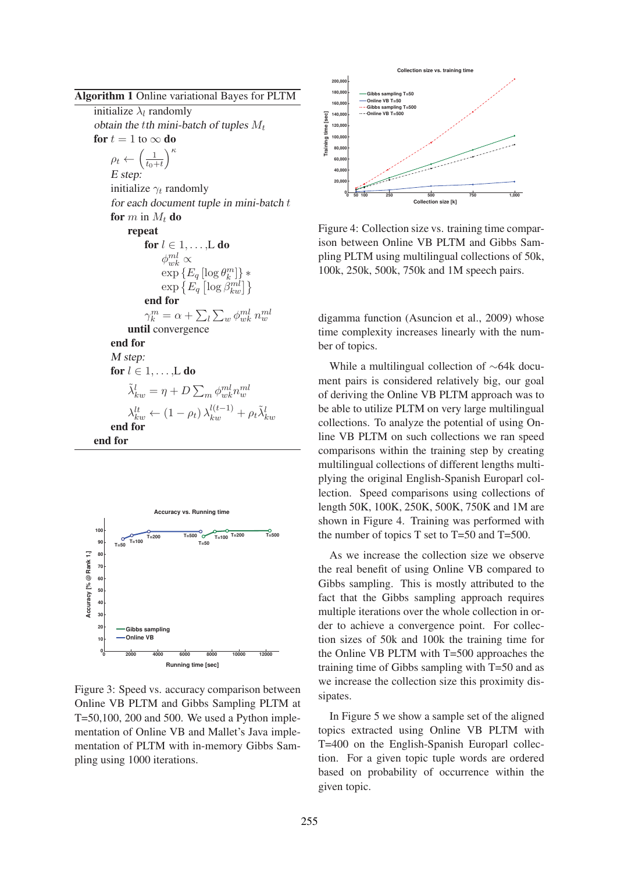Algorithm 1 Online variational Bayes for PLTM

initialize  $\lambda_l$  randomly *obtain the tth mini-batch of tuples*  $M_t$ for  $t = 1$  to  $\infty$  do  $\rho_t \leftarrow \left(\frac{1}{t_0 - t_0}\right)$  $t_0+t$  $\setminus^{\kappa}$ *E step:* initialize  $\gamma_t$  randomly *for each document tuple in mini-batch* t for  $m$  in  $M_t$  do repeat for  $l \in 1, \ldots, L$  do  $\phi_{wk}^{ml} \propto$  $\exp\left\{E_q\left[\log \theta_k^m\right]\right\}*$  $\exp\left\{ E_q \left[ \log \overset{\circ}{\beta_{kw}^{ml}} \right] \right\}$ end for  $\gamma_k^m = \alpha + \sum_l \sum_w \phi_{wk}^{ml} n_w^{ml}$ until convergence end for *M step:* for  $l \in 1, \ldots, L$  do  $\tilde{\lambda}^l_{kw} = \eta + D \sum_m \phi^{ml}_{wk} n^{ml}_w$  $\lambda_{kw}^{lt} \left(1 - \rho_t\right) \lambda_{kw}^{l(t-1)} + \rho_t \tilde{\lambda}_{kw}^l$ end f end for



Figure 3: Speed vs. accuracy comparison between Online VB PLTM and Gibbs Sampling PLTM at T=50,100, 200 and 500. We used a Python implementation of Online VB and Mallet's Java implementation of PLTM with in-memory Gibbs Sampling using 1000 iterations.



Figure 4: Collection size vs. training time comparison between Online VB PLTM and Gibbs Sampling PLTM using multilingual collections of 50k, 100k, 250k, 500k, 750k and 1M speech pairs.

digamma function (Asuncion et al., 2009) whose time complexity increases linearly with the number of topics.

While a multilingual collection of ∼64k document pairs is considered relatively big, our goal of deriving the Online VB PLTM approach was to be able to utilize PLTM on very large multilingual collections. To analyze the potential of using Online VB PLTM on such collections we ran speed comparisons within the training step by creating multilingual collections of different lengths multiplying the original English-Spanish Europarl collection. Speed comparisons using collections of length 50K, 100K, 250K, 500K, 750K and 1M are shown in Figure 4. Training was performed with the number of topics T set to T=50 and T=500.

As we increase the collection size we observe the real benefit of using Online VB compared to Gibbs sampling. This is mostly attributed to the fact that the Gibbs sampling approach requires multiple iterations over the whole collection in order to achieve a convergence point. For collection sizes of 50k and 100k the training time for the Online VB PLTM with T=500 approaches the training time of Gibbs sampling with T=50 and as we increase the collection size this proximity dissipates.

In Figure 5 we show a sample set of the aligned topics extracted using Online VB PLTM with T=400 on the English-Spanish Europarl collection. For a given topic tuple words are ordered based on probability of occurrence within the given topic.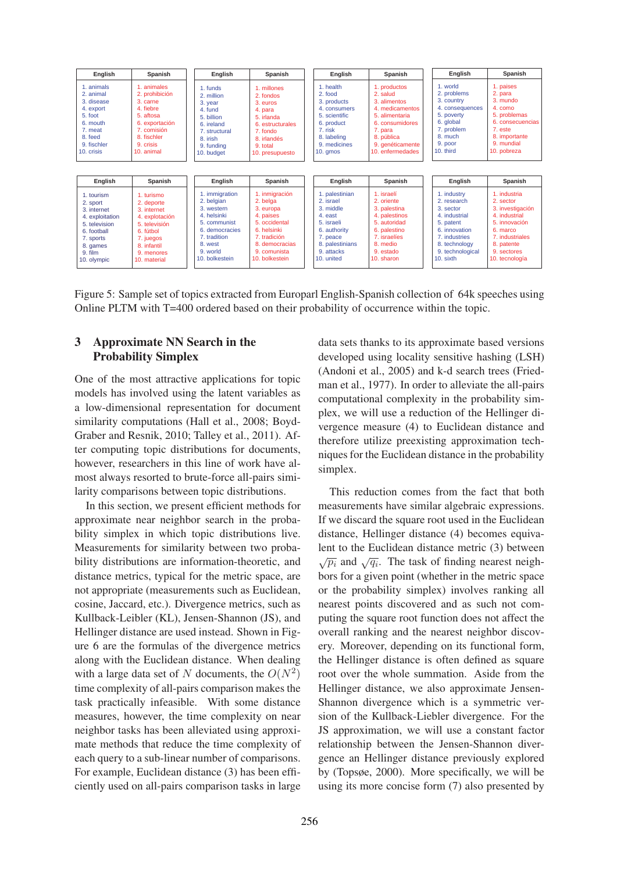

Figure 5: Sample set of topics extracted from Europarl English-Spanish collection of 64k speeches using Online PLTM with T=400 ordered based on their probability of occurrence within the topic.

### 3 Approximate NN Search in the Probability Simplex

One of the most attractive applications for topic models has involved using the latent variables as a low-dimensional representation for document similarity computations (Hall et al., 2008; Boyd-Graber and Resnik, 2010; Talley et al., 2011). After computing topic distributions for documents, however, researchers in this line of work have almost always resorted to brute-force all-pairs similarity comparisons between topic distributions.

In this section, we present efficient methods for approximate near neighbor search in the probability simplex in which topic distributions live. Measurements for similarity between two probability distributions are information-theoretic, and distance metrics, typical for the metric space, are not appropriate (measurements such as Euclidean, cosine, Jaccard, etc.). Divergence metrics, such as Kullback-Leibler (KL), Jensen-Shannon (JS), and Hellinger distance are used instead. Shown in Figure 6 are the formulas of the divergence metrics along with the Euclidean distance. When dealing with a large data set of N documents, the  $O(N^2)$ time complexity of all-pairs comparison makes the task practically infeasible. With some distance measures, however, the time complexity on near neighbor tasks has been alleviated using approximate methods that reduce the time complexity of each query to a sub-linear number of comparisons. For example, Euclidean distance (3) has been efficiently used on all-pairs comparison tasks in large

data sets thanks to its approximate based versions developed using locality sensitive hashing (LSH) (Andoni et al., 2005) and k-d search trees (Friedman et al., 1977). In order to alleviate the all-pairs computational complexity in the probability simplex, we will use a reduction of the Hellinger divergence measure (4) to Euclidean distance and therefore utilize preexisting approximation techniques for the Euclidean distance in the probability simplex.

This reduction comes from the fact that both measurements have similar algebraic expressions. If we discard the square root used in the Euclidean distance, Hellinger distance (4) becomes equivalent to the Euclidean distance metric (3) between  $\sqrt{p_i}$  and  $\sqrt{q_i}$ . The task of finding nearest neighbors for a given point (whether in the metric space or the probability simplex) involves ranking all nearest points discovered and as such not computing the square root function does not affect the overall ranking and the nearest neighbor discovery. Moreover, depending on its functional form, the Hellinger distance is often defined as square root over the whole summation. Aside from the Hellinger distance, we also approximate Jensen-Shannon divergence which is a symmetric version of the Kullback-Liebler divergence. For the JS approximation, we will use a constant factor relationship between the Jensen-Shannon divergence an Hellinger distance previously explored by (Topsøe, 2000). More specifically, we will be using its more concise form (7) also presented by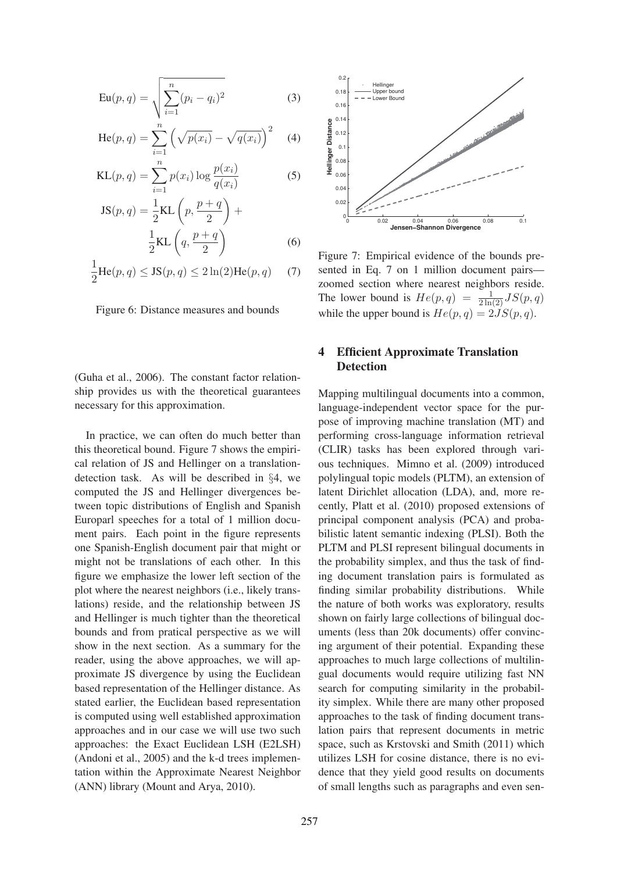$$
Eu(p, q) = \sqrt{\sum_{i=1}^{n} (p_i - q_i)^2}
$$
 (3)

He(p, q) = 
$$
\sum_{i=1}^{n} (\sqrt{p(x_i)} - \sqrt{q(x_i)})^2
$$
 (4)

KL(p, q) = 
$$
\sum_{i=1}^{n} p(x_i) \log \frac{p(x_i)}{q(x_i)}
$$
 (5)

$$
JS(p,q) = \frac{1}{2}KL\left(p, \frac{p+q}{2}\right) + \frac{1}{2}KL\left(q, \frac{p+q}{2}\right)
$$
\n(6)

$$
\frac{1}{2}\text{He}(p,q) \leq \text{JS}(p,q) \leq 2\ln(2)\text{He}(p,q) \quad (7)
$$

Figure 6: Distance measures and bounds

(Guha et al., 2006). The constant factor relationship provides us with the theoretical guarantees necessary for this approximation.

In practice, we can often do much better than this theoretical bound. Figure 7 shows the empirical relation of JS and Hellinger on a translationdetection task. As will be described in §4, we computed the JS and Hellinger divergences between topic distributions of English and Spanish Europarl speeches for a total of 1 million document pairs. Each point in the figure represents one Spanish-English document pair that might or might not be translations of each other. In this figure we emphasize the lower left section of the plot where the nearest neighbors (i.e., likely translations) reside, and the relationship between JS and Hellinger is much tighter than the theoretical bounds and from pratical perspective as we will show in the next section. As a summary for the reader, using the above approaches, we will approximate JS divergence by using the Euclidean based representation of the Hellinger distance. As stated earlier, the Euclidean based representation is computed using well established approximation approaches and in our case we will use two such approaches: the Exact Euclidean LSH (E2LSH) (Andoni et al., 2005) and the k-d trees implementation within the Approximate Nearest Neighbor (ANN) library (Mount and Arya, 2010).



Figure 7: Empirical evidence of the bounds presented in Eq. 7 on 1 million document pairs zoomed section where nearest neighbors reside. The lower bound is  $He(p,q) = \frac{1}{2 \ln(2)} JS(p,q)$ while the upper bound is  $He(p, q) = 2JS(p, q)$ .

## 4 Efficient Approximate Translation Detection

Mapping multilingual documents into a common, language-independent vector space for the purpose of improving machine translation (MT) and performing cross-language information retrieval (CLIR) tasks has been explored through various techniques. Mimno et al. (2009) introduced polylingual topic models (PLTM), an extension of latent Dirichlet allocation (LDA), and, more recently, Platt et al. (2010) proposed extensions of principal component analysis (PCA) and probabilistic latent semantic indexing (PLSI). Both the PLTM and PLSI represent bilingual documents in the probability simplex, and thus the task of finding document translation pairs is formulated as finding similar probability distributions. While the nature of both works was exploratory, results shown on fairly large collections of bilingual documents (less than 20k documents) offer convincing argument of their potential. Expanding these approaches to much large collections of multilingual documents would require utilizing fast NN search for computing similarity in the probability simplex. While there are many other proposed approaches to the task of finding document translation pairs that represent documents in metric space, such as Krstovski and Smith (2011) which utilizes LSH for cosine distance, there is no evidence that they yield good results on documents of small lengths such as paragraphs and even sen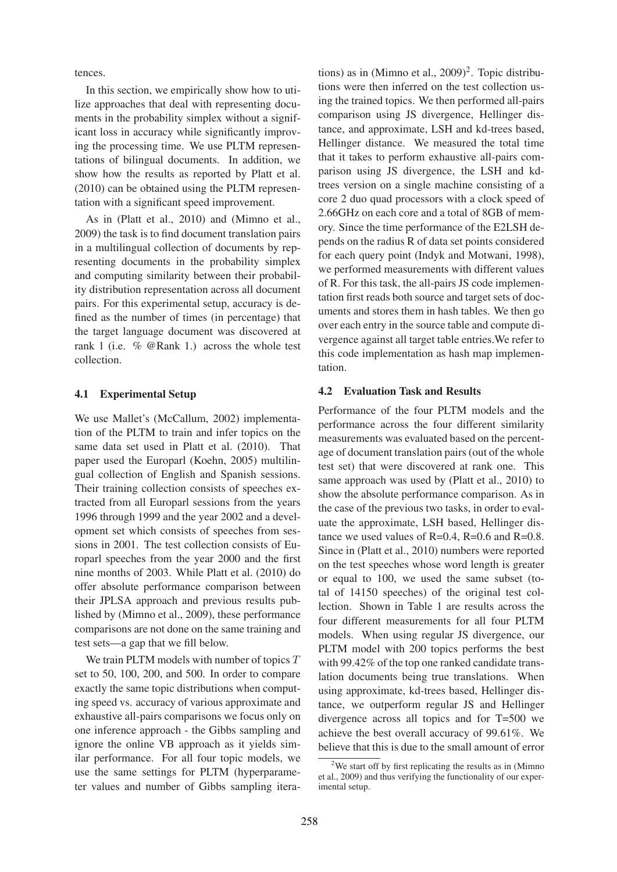tences.

In this section, we empirically show how to utilize approaches that deal with representing documents in the probability simplex without a significant loss in accuracy while significantly improving the processing time. We use PLTM representations of bilingual documents. In addition, we show how the results as reported by Platt et al. (2010) can be obtained using the PLTM representation with a significant speed improvement.

As in (Platt et al., 2010) and (Mimno et al., 2009) the task is to find document translation pairs in a multilingual collection of documents by representing documents in the probability simplex and computing similarity between their probability distribution representation across all document pairs. For this experimental setup, accuracy is defined as the number of times (in percentage) that the target language document was discovered at rank 1 (i.e. % @Rank 1.) across the whole test collection.

### 4.1 Experimental Setup

We use Mallet's (McCallum, 2002) implementation of the PLTM to train and infer topics on the same data set used in Platt et al. (2010). That paper used the Europarl (Koehn, 2005) multilingual collection of English and Spanish sessions. Their training collection consists of speeches extracted from all Europarl sessions from the years 1996 through 1999 and the year 2002 and a development set which consists of speeches from sessions in 2001. The test collection consists of Europarl speeches from the year 2000 and the first nine months of 2003. While Platt et al. (2010) do offer absolute performance comparison between their JPLSA approach and previous results published by (Mimno et al., 2009), these performance comparisons are not done on the same training and test sets—a gap that we fill below.

We train PLTM models with number of topics  $T$ set to 50, 100, 200, and 500. In order to compare exactly the same topic distributions when computing speed vs. accuracy of various approximate and exhaustive all-pairs comparisons we focus only on one inference approach - the Gibbs sampling and ignore the online VB approach as it yields similar performance. For all four topic models, we use the same settings for PLTM (hyperparameter values and number of Gibbs sampling itera-

tions) as in (Mimno et al.,  $2009$ )<sup>2</sup>. Topic distributions were then inferred on the test collection using the trained topics. We then performed all-pairs comparison using JS divergence, Hellinger distance, and approximate, LSH and kd-trees based, Hellinger distance. We measured the total time that it takes to perform exhaustive all-pairs comparison using JS divergence, the LSH and kdtrees version on a single machine consisting of a core 2 duo quad processors with a clock speed of 2.66GHz on each core and a total of 8GB of memory. Since the time performance of the E2LSH depends on the radius R of data set points considered for each query point (Indyk and Motwani, 1998), we performed measurements with different values of R. For this task, the all-pairs JS code implementation first reads both source and target sets of documents and stores them in hash tables. We then go over each entry in the source table and compute divergence against all target table entries.We refer to this code implementation as hash map implementation.

### 4.2 Evaluation Task and Results

Performance of the four PLTM models and the performance across the four different similarity measurements was evaluated based on the percentage of document translation pairs (out of the whole test set) that were discovered at rank one. This same approach was used by (Platt et al., 2010) to show the absolute performance comparison. As in the case of the previous two tasks, in order to evaluate the approximate, LSH based, Hellinger distance we used values of  $R=0.4$ ,  $R=0.6$  and  $R=0.8$ . Since in (Platt et al., 2010) numbers were reported on the test speeches whose word length is greater or equal to 100, we used the same subset (total of 14150 speeches) of the original test collection. Shown in Table 1 are results across the four different measurements for all four PLTM models. When using regular JS divergence, our PLTM model with 200 topics performs the best with 99.42% of the top one ranked candidate translation documents being true translations. When using approximate, kd-trees based, Hellinger distance, we outperform regular JS and Hellinger divergence across all topics and for T=500 we achieve the best overall accuracy of 99.61%. We believe that this is due to the small amount of error

<sup>&</sup>lt;sup>2</sup>We start off by first replicating the results as in (Mimno)<sup>2</sup> et al., 2009) and thus verifying the functionality of our experimental setup.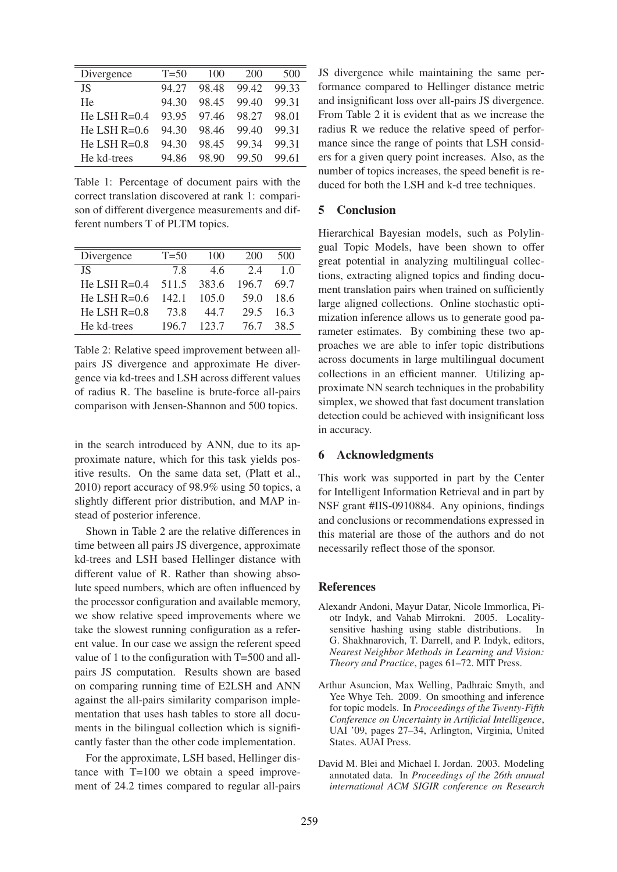| Divergence     | $T = 50$ | 100   | 200   | 500   |
|----------------|----------|-------|-------|-------|
| JS.            | 94.27    | 98.48 | 99.42 | 99.33 |
| He             | 94.30    | 98.45 | 99.40 | 99.31 |
| He LSH $R=0.4$ | 93.95    | 97.46 | 98.27 | 98.01 |
| He LSH $R=0.6$ | 94.30    | 98.46 | 99.40 | 99.31 |
| He LSH $R=0.8$ | 94.30    | 98.45 | 99.34 | 99.31 |
| He kd-trees    | 94.86    | 98.90 | 99.50 | 99.61 |
|                |          |       |       |       |

Table 1: Percentage of document pairs with the correct translation discovered at rank 1: comparison of different divergence measurements and different numbers T of PLTM topics.

| Divergence     | $T = 50$ | 100   | 200   | 500  |
|----------------|----------|-------|-------|------|
| JS.            | 78       | 46    | 2.4   | 10   |
| He LSH $R=0.4$ | 511.5    | 383.6 | 196.7 | 69.7 |
| He LSH $R=0.6$ | 142.1    | 105.0 | 59.0  | 18.6 |
| He LSH $R=0.8$ | 73.8     | 44 7  | 29.5  | 16.3 |
| He kd-trees    | 1967     | 123.7 | 76 7  | 38.5 |

Table 2: Relative speed improvement between allpairs JS divergence and approximate He divergence via kd-trees and LSH across different values of radius R. The baseline is brute-force all-pairs comparison with Jensen-Shannon and 500 topics.

in the search introduced by ANN, due to its approximate nature, which for this task yields positive results. On the same data set, (Platt et al., 2010) report accuracy of 98.9% using 50 topics, a slightly different prior distribution, and MAP instead of posterior inference.

Shown in Table 2 are the relative differences in time between all pairs JS divergence, approximate kd-trees and LSH based Hellinger distance with different value of R. Rather than showing absolute speed numbers, which are often influenced by the processor configuration and available memory, we show relative speed improvements where we take the slowest running configuration as a referent value. In our case we assign the referent speed value of 1 to the configuration with T=500 and allpairs JS computation. Results shown are based on comparing running time of E2LSH and ANN against the all-pairs similarity comparison implementation that uses hash tables to store all documents in the bilingual collection which is significantly faster than the other code implementation.

For the approximate, LSH based, Hellinger distance with T=100 we obtain a speed improvement of 24.2 times compared to regular all-pairs JS divergence while maintaining the same performance compared to Hellinger distance metric and insignificant loss over all-pairs JS divergence. From Table 2 it is evident that as we increase the radius R we reduce the relative speed of performance since the range of points that LSH considers for a given query point increases. Also, as the number of topics increases, the speed benefit is reduced for both the LSH and k-d tree techniques.

# 5 Conclusion

Hierarchical Bayesian models, such as Polylingual Topic Models, have been shown to offer great potential in analyzing multilingual collections, extracting aligned topics and finding document translation pairs when trained on sufficiently large aligned collections. Online stochastic optimization inference allows us to generate good parameter estimates. By combining these two approaches we are able to infer topic distributions across documents in large multilingual document collections in an efficient manner. Utilizing approximate NN search techniques in the probability simplex, we showed that fast document translation detection could be achieved with insignificant loss in accuracy.

#### 6 Acknowledgments

This work was supported in part by the Center for Intelligent Information Retrieval and in part by NSF grant #IIS-0910884. Any opinions, findings and conclusions or recommendations expressed in this material are those of the authors and do not necessarily reflect those of the sponsor.

#### **References**

- Alexandr Andoni, Mayur Datar, Nicole Immorlica, Piotr Indyk, and Vahab Mirrokni. 2005. Localitysensitive hashing using stable distributions. In G. Shakhnarovich, T. Darrell, and P. Indyk, editors, *Nearest Neighbor Methods in Learning and Vision: Theory and Practice*, pages 61–72. MIT Press.
- Arthur Asuncion, Max Welling, Padhraic Smyth, and Yee Whye Teh. 2009. On smoothing and inference for topic models. In *Proceedings of the Twenty-Fifth Conference on Uncertainty in Artificial Intelligence*, UAI '09, pages 27–34, Arlington, Virginia, United States. AUAI Press.
- David M. Blei and Michael I. Jordan. 2003. Modeling annotated data. In *Proceedings of the 26th annual international ACM SIGIR conference on Research*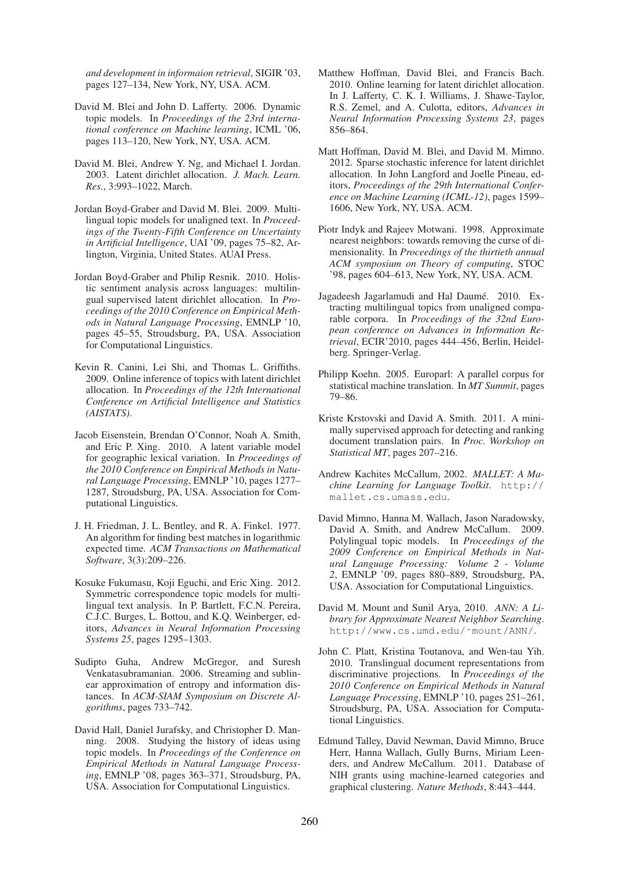*and development in informaion retrieval*, SIGIR '03, pages 127–134, New York, NY, USA. ACM.

- David M. Blei and John D. Lafferty. 2006. Dynamic topic models. In *Proceedings of the 23rd international conference on Machine learning*, ICML '06, pages 113–120, New York, NY, USA. ACM.
- David M. Blei, Andrew Y. Ng, and Michael I. Jordan. 2003. Latent dirichlet allocation. *J. Mach. Learn. Res.*, 3:993–1022, March.
- Jordan Boyd-Graber and David M. Blei. 2009. Multilingual topic models for unaligned text. In *Proceedings of the Twenty-Fifth Conference on Uncertainty in Artificial Intelligence*, UAI '09, pages 75–82, Arlington, Virginia, United States. AUAI Press.
- Jordan Boyd-Graber and Philip Resnik. 2010. Holistic sentiment analysis across languages: multilingual supervised latent dirichlet allocation. In *Proceedings of the 2010 Conference on Empirical Methods in Natural Language Processing*, EMNLP '10, pages 45–55, Stroudsburg, PA, USA. Association for Computational Linguistics.
- Kevin R. Canini, Lei Shi, and Thomas L. Griffiths. 2009. Online inference of topics with latent dirichlet allocation. In *Proceedings of the 12th International Conference on Artificial Intelligence and Statistics (AISTATS)*.
- Jacob Eisenstein, Brendan O'Connor, Noah A. Smith, and Eric P. Xing. 2010. A latent variable model for geographic lexical variation. In *Proceedings of the 2010 Conference on Empirical Methods in Natural Language Processing*, EMNLP '10, pages 1277– 1287, Stroudsburg, PA, USA. Association for Computational Linguistics.
- J. H. Friedman, J. L. Bentley, and R. A. Finkel. 1977. An algorithm for finding best matches in logarithmic expected time. *ACM Transactions on Mathematical Software*, 3(3):209–226.
- Kosuke Fukumasu, Koji Eguchi, and Eric Xing. 2012. Symmetric correspondence topic models for multilingual text analysis. In P. Bartlett, F.C.N. Pereira, C.J.C. Burges, L. Bottou, and K.Q. Weinberger, editors, *Advances in Neural Information Processing Systems 25*, pages 1295–1303.
- Sudipto Guha, Andrew McGregor, and Suresh Venkatasubramanian. 2006. Streaming and sublinear approximation of entropy and information distances. In *ACM-SIAM Symposium on Discrete Algorithms*, pages 733–742.
- David Hall, Daniel Jurafsky, and Christopher D. Manning. 2008. Studying the history of ideas using topic models. In *Proceedings of the Conference on Empirical Methods in Natural Language Processing*, EMNLP '08, pages 363–371, Stroudsburg, PA, USA. Association for Computational Linguistics.
- Matthew Hoffman, David Blei, and Francis Bach. 2010. Online learning for latent dirichlet allocation. In J. Lafferty, C. K. I. Williams, J. Shawe-Taylor, R.S. Zemel, and A. Culotta, editors, *Advances in Neural Information Processing Systems 23*, pages 856–864.
- Matt Hoffman, David M. Blei, and David M. Mimno. 2012. Sparse stochastic inference for latent dirichlet allocation. In John Langford and Joelle Pineau, editors, *Proceedings of the 29th International Conference on Machine Learning (ICML-12)*, pages 1599– 1606, New York, NY, USA. ACM.
- Piotr Indyk and Rajeev Motwani. 1998. Approximate nearest neighbors: towards removing the curse of dimensionality. In *Proceedings of the thirtieth annual ACM symposium on Theory of computing*, STOC '98, pages 604–613, New York, NY, USA. ACM.
- Jagadeesh Jagarlamudi and Hal Daumé. 2010. Extracting multilingual topics from unaligned comparable corpora. In *Proceedings of the 32nd European conference on Advances in Information Retrieval*, ECIR'2010, pages 444–456, Berlin, Heidelberg. Springer-Verlag.
- Philipp Koehn. 2005. Europarl: A parallel corpus for statistical machine translation. In *MT Summit*, pages 79–86.
- Kriste Krstovski and David A. Smith. 2011. A minimally supervised approach for detecting and ranking document translation pairs. In *Proc. Workshop on Statistical MT*, pages 207–216.
- Andrew Kachites McCallum, 2002. *MALLET: A Machine Learning for Language Toolkit*. http:// mallet.cs.umass.edu.
- David Mimno, Hanna M. Wallach, Jason Naradowsky, David A. Smith, and Andrew McCallum. 2009. Polylingual topic models. In *Proceedings of the 2009 Conference on Empirical Methods in Natural Language Processing: Volume2-Volume 2*, EMNLP '09, pages 880–889, Stroudsburg, PA, USA. Association for Computational Linguistics.
- David M. Mount and Sunil Arya, 2010. *ANN: A Library for Approximate Nearest Neighbor Searching*. http://www.cs.umd.edu/˜mount/ANN/.
- John C. Platt, Kristina Toutanova, and Wen-tau Yih. 2010. Translingual document representations from discriminative projections. In *Proceedings of the 2010 Conference on Empirical Methods in Natural Language Processing*, EMNLP '10, pages 251–261, Stroudsburg, PA, USA. Association for Computational Linguistics.
- Edmund Talley, David Newman, David Mimno, Bruce Herr, Hanna Wallach, Gully Burns, Miriam Leenders, and Andrew McCallum. 2011. Database of NIH grants using machine-learned categories and graphical clustering. *Nature Methods*, 8:443–444.